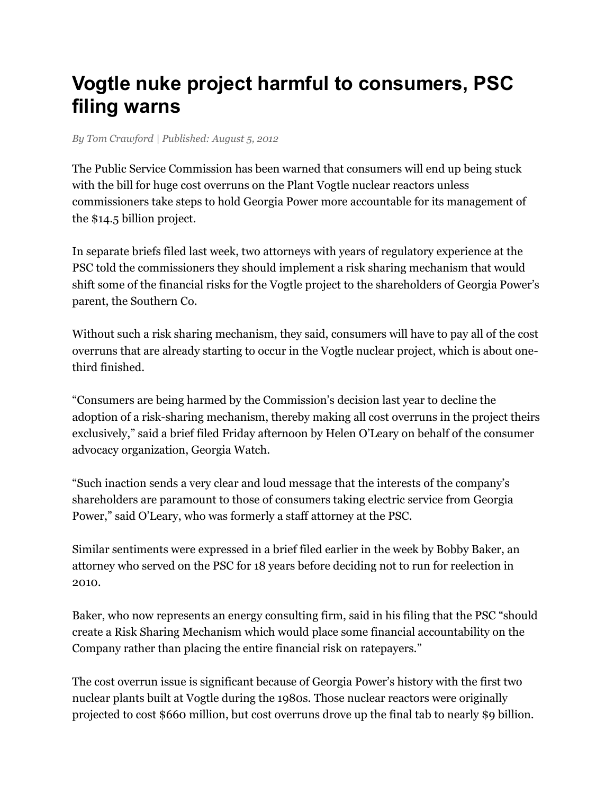## **Vogtle nuke project harmful to consumers, PSC filing warns**

*By Tom Crawford | Published: August 5, 2012*

The Public Service Commission has been warned that consumers will end up being stuck with the bill for huge cost overruns on the Plant Vogtle nuclear reactors unless commissioners take steps to hold Georgia Power more accountable for its management of the \$14.5 billion project.

In separate briefs filed last week, two attorneys with years of regulatory experience at the PSC told the commissioners they should implement a risk sharing mechanism that would shift some of the financial risks for the Vogtle project to the shareholders of Georgia Power's parent, the Southern Co.

Without such a risk sharing mechanism, they said, consumers will have to pay all of the cost overruns that are already starting to occur in the Vogtle nuclear project, which is about onethird finished.

"Consumers are being harmed by the Commission's decision last year to decline the adoption of a risk-sharing mechanism, thereby making all cost overruns in the project theirs exclusively," said a brief filed Friday afternoon by Helen O'Leary on behalf of the consumer advocacy organization, Georgia Watch.

"Such inaction sends a very clear and loud message that the interests of the company's shareholders are paramount to those of consumers taking electric service from Georgia Power," said O'Leary, who was formerly a staff attorney at the PSC.

Similar sentiments were expressed in a brief filed earlier in the week by Bobby Baker, an attorney who served on the PSC for 18 years before deciding not to run for reelection in 2010.

Baker, who now represents an energy consulting firm, said in his filing that the PSC "should create a Risk Sharing Mechanism which would place some financial accountability on the Company rather than placing the entire financial risk on ratepayers."

The cost overrun issue is significant because of Georgia Power's history with the first two nuclear plants built at Vogtle during the 1980s. Those nuclear reactors were originally projected to cost \$660 million, but cost overruns drove up the final tab to nearly \$9 billion.